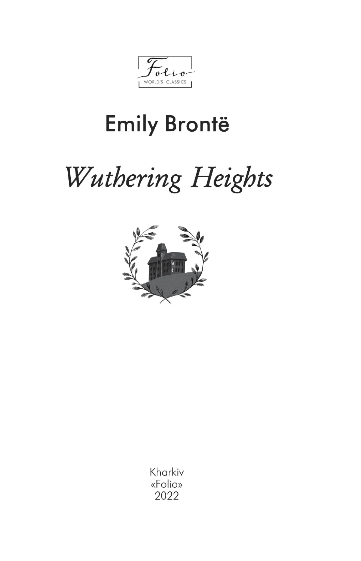WORLD'S CLASSICS

## **Emily Brontë**

# Wuthering Heights



Kharkiv «Folio» 2022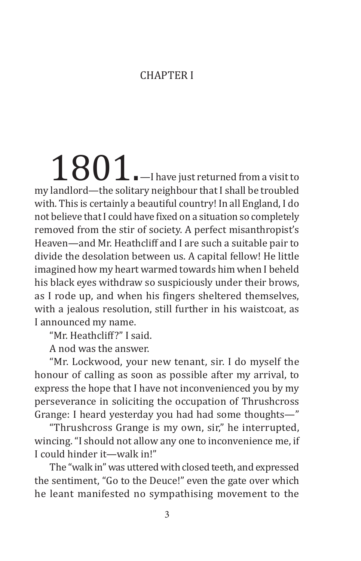#### **CHAPTER I**

 $1801$  .  $-$  I have just returned from a visit to my landlord—the solitary neighbour that I shall be troubled with. This is certainly a beautiful country! In all England, I do not believe that I could have fixed on a situation so completely removed from the stir of society. A perfect misanthropist's Heaven—and Mr. Heathcliff and I are such a suitable pair to divide the desolation between us. A capital fellow! He little imagined how my heart warmed towards him when I beheld his black eyes withdraw so suspiciously under their brows, as I rode up, and when his fingers sheltered themselves, with a jealous resolution, still further in his waistcoat, as I announced my name.

"Mr. Heathcliff?" I said.

A nod was the answer.

"Mr. Lockwood, your new tenant, sir. I do myself the honour of calling as soon as possible after my arrival, to express the hope that I have not inconvenienced you by my perseverance in soliciting the occupation of Thrushcross Grange: I heard yesterday you had had some thoughts—"

"Thrushcross Grange is my own, sir," he interrupted, wincing. "I should not allow any one to inconvenience me, if I could hinder it—walk in!"

The "walk in" was uttered with closed teeth, and expressed the sentiment, "Go to the Deuce!" even the gate over which he leant manifested no sympathising movement to the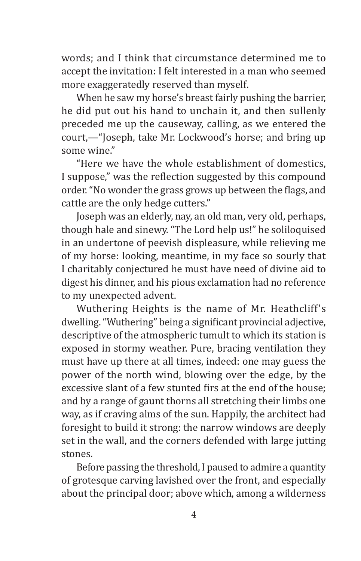words; and I think that circumstance determined me to accept the invitation: I felt interested in a man who seemed more exaggeratedly reserved than myself.

When he saw my horse's breast fairly pushing the barrier, he did put out his hand to unchain it, and then sullenly preceded me up the causeway, calling, as we entered the court,—"Joseph, take Mr. Lockwood's horse; and bring up some wine."

"Here we have the whole establishment of domestics, I suppose," was the reflection suggested by this compound order."No wonder the grass grows up between the flags, and cattle are the only hedge cutters."

Joseph was an elderly, nay, an old man, very old, perhaps, though hale and sinewy. "The Lord help us!" he soliloquised in an undertone of peevish displeasure, while relieving me of my horse: looking, meantime, in my face so sourly that I charitably conjectured he must have need of divine aid to digest his dinner, and his pious exclamation had no reference to my unexpected advent.

Wuthering Heights is the name of Mr. Heathcliff's dwelling."Wuthering" being a significant provincial adjective, descriptive of the atmospheric tumult to which its station is exposed in stormy weather. Pure, bracing ventilation they must have up there at all times, indeed: one may guess the power of the north wind, blowing over the edge, by the excessive slant of a few stunted firs at the end of the house; and by a range of gaunt thorns all stretching their limbs one way, as if craving alms of the sun. Happily, the architect had foresight to build it strong: the narrow windows are deeply set in the wall, and the corners defended with large jutting stones.

Before passing the threshold, I paused to admire a quantity of grotesque carving lavished over the front, and especially about the principal door; above which, among a wilderness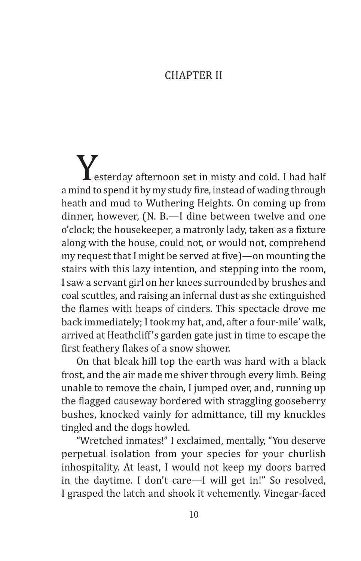#### **CHAPTER II**

**Westerday afternoon set in misty and cold. I had half a mind to spend it by my study fire, instead of wading through** heath and mud to Wuthering Heights. On coming up from dinner, however, (N. B.—I dine between twelve and one o'clock; the housekeeper, a matronly lady, taken as a fixture along with the house, could not, or would not, comprehend my request that I might be served at five)—on mounting the stairs with this lazy intention, and stepping into the room, I saw a servant girl on her knees surrounded by brushes and coal scuttles, and raising an infernal dust as she extinguished the flames with heaps of cinders. This spectacle drove me back immediately; I took my hat, and, after a four-mile' walk, arrived at Heathcliff's garden gate just in time to escape the first feathery flakes of a snow shower.

On that bleak hill top the earth was hard with a black frost, and the air made me shiver through every limb. Being unable to remove the chain, I jumped over, and, running up the flagged causeway bordered with straggling gooseberry bushes, knocked vainly for admittance, till my knuckles tingled and the dogs howled.

"Wretched inmates!" I exclaimed, mentally, "You deserve perpetual isolation from your species for your churlish inhospitality. At least, I would not keep my doors barred in the daytime. I don't care—I will get in!" So resolved, I grasped the latch and shook it vehemently. Vinegar-faced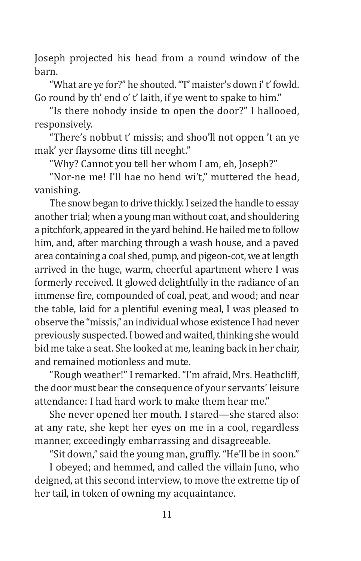Joseph projected his head from a round window of the barn.

"What are ye for?" he shouted. "T' maister's down i' t' fowld. Go round by th' end o' t' laith, if ye went to spake to him."

"Is there nobody inside to open the door?" I hallooed, responsively.

"There's nobbut t' missis; and shoo'll not oppen 't an ye mak' yer flaysome dins till neeght."

"Why? Cannot you tell her whom I am, eh, Joseph?"

"Nor-ne me! I'll hae no hend wi't," muttered the head, vanishing.

The snow began to drive thickly. I seized the handle to essay another trial; when a young man without coat, and shouldering a pitchfork, appeared in the yard behind. He hailed me to follow him, and, after marching through a wash house, and a paved area containing a coal shed, pump, and pigeon-cot, we at length arrived in the huge, warm, cheerful apartment where I was formerly received. It glowed delightfully in the radiance of an immense fire, compounded of coal, peat, and wood; and near the table, laid for a plentiful evening meal, I was pleased to observe the "missis," an individual whose existence I had never previously suspected. I bowed and waited, thinking she would bid me take a seat. She looked at me, leaning back in her chair, and remained motionless and mute.

"Rough weather!" I remarked. "I'm afraid, Mrs. Heathcliff, the door must bear the consequence of your servants' leisure attendance: I had hard work to make them hear me."

She never opened her mouth. I stared—she stared also: at any rate, she kept her eyes on me in a cool, regardless manner, exceedingly embarrassing and disagreeable.

"Sit down," said the young man, gruffly."He'll be in soon."

I obeyed; and hemmed, and called the villain Juno, who deigned, at this second interview, to move the extreme tip of her tail, in token of owning my acquaintance.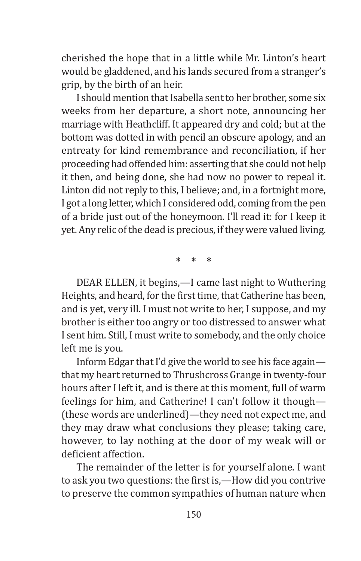cherished the hope that in a little while Mr. Linton's heart would be gladdened, and his lands secured from a stranger's grip, by the birth of an heir.

I should mention that Isabella sent to her brother, some six weeks from her departure, a short note, announcing her marriage with Heathcliff. It appeared dry and cold; but at the bottom was dotted in with pencil an obscure apology, and an entreaty for kind remembrance and reconciliation, if her proceeding had offended him: asserting that she could not help it then, and being done, she had now no power to repeal it. Linton did not reply to this, I believe; and, in a fortnight more, I got a long letter, which I considered odd, coming from the pen of a bride just out of the honeymoon. I'll read it: for I keep it yet. Any relic of the dead is precious, if they were valued living.

**\* \* \***

DEAR ELLEN, it begins,—I came last night to Wuthering Heights, and heard, for the first time, that Catherine has been, and is yet, very ill. I must not write to her, I suppose, and my brother is either too angry or too distressed to answer what I sent him. Still, I must write to somebody, and the only choice left me is you.

Inform Edgar that I'd give the world to see his face again that my heart returned to Thrushcross Grange in twenty-four hours after I left it, and is there at this moment, full of warm feelings for him, and Catherine! I can't follow it though— (these words are underlined)—they need not expect me, and they may draw what conclusions they please; taking care, however, to lay nothing at the door of my weak will or deficient affection.

The remainder of the letter is for yourself alone. I want to ask you two questions: the first is,—How did you contrive to preserve the common sympathies of human nature when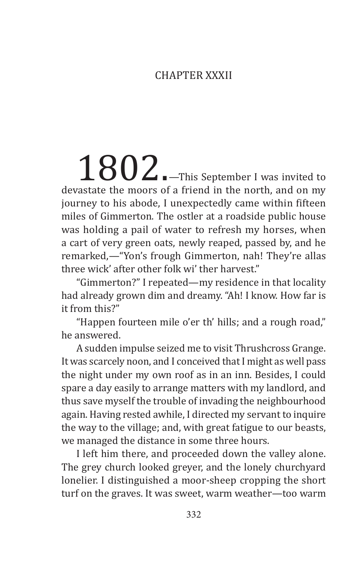#### Chapter XXXII

1802. This September I was invited to devastate the moors of a friend in the north, and on my iourney to his abode. I unexpectedly came within fifteen miles of Gimmerton. The ostler at a roadside public house was holding a pail of water to refresh my horses, when a cart of very green oats, newly reaped, passed by, and he remarked,—"Yon's frough Gimmerton, nah! They're allas three wick' after other folk wi' ther harvest"

"Gimmerton?" I repeated—my residence in that locality had already grown dim and dreamy. "Ah! I know. How far is it from this?"

"Happen fourteen mile o'er th' hills; and a rough road," he answered.

A sudden impulse seized me to visit Thrushcross Grange. It was scarcely noon, and I conceived that I might as well pass the night under my own roof as in an inn. Besides, I could spare a day easily to arrange matters with my landlord, and thus save myself the trouble of invading the neighbourhood again. Having rested awhile, I directed my servant to inquire the way to the village; and, with great fatigue to our beasts, we managed the distance in some three hours.

I left him there, and proceeded down the valley alone. The grey church looked greyer, and the lonely churchyard lonelier. I distinguished a moor-sheep cropping the short turf on the graves. It was sweet, warm weather—too warm